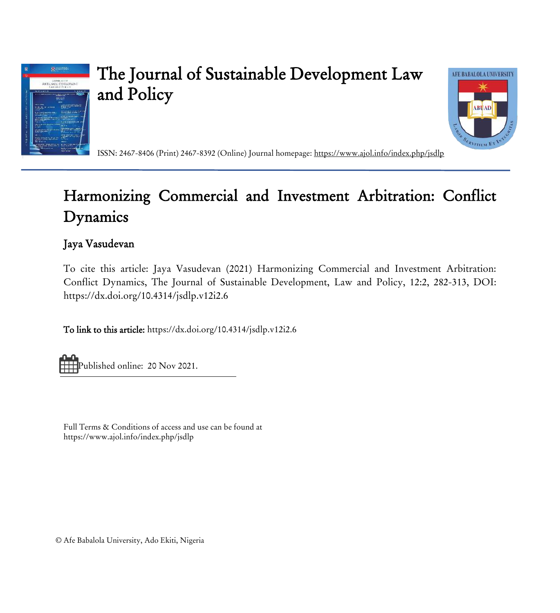

# The Journal of Sustainable Development Law and Policy



ISSN: 2467-8406 (Print) 2467-8392 (Online) Journal homepage:<https://www.ajol.info/index.php/jsdlp>

## Harmonizing Commercial and Investment Arbitration: Conflict Dynamics

## Jaya Vasudevan

To cite this article: Jaya Vasudevan (2021) Harmonizing Commercial and Investment Arbitration: Conflict Dynamics, The Journal of Sustainable Development, Law and Policy, 12:2, 282-313, DOI: <https://dx.doi.org/10.4314/jsdlp.v12i2.6>

To link to this article[: https://dx.doi.org/10.4314/jsdlp.v12i2.6](https://dx.doi.org/10.4314/jsdlp.v12i2.6)

Published online: 20 Nov 2021.

Full Terms & Conditions of access and use can be found at https://www.ajol.info/index.php/jsdlp

© Afe Babalola University, Ado Ekiti, Nigeria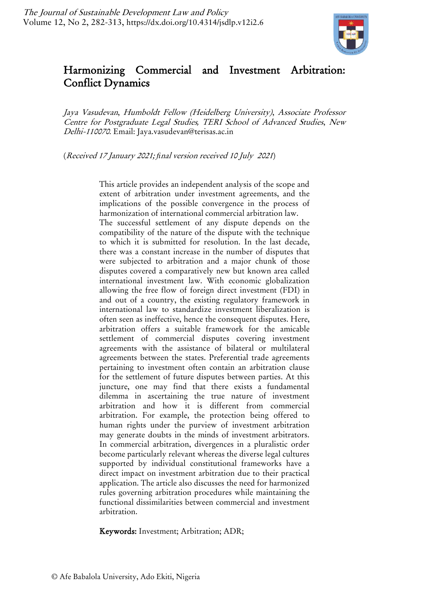

## Harmonizing Commercial and Investment Arbitration: Conflict Dynamics

Jaya Vasudevan, Humboldt Fellow (Heidelberg University), Associate Professor Centre for Postgraduate Legal Studies*,* TERI School of Advanced Studies, New Delhi-110070. Email: Jaya.vasudevan@terisas.ac.in

(Received 17 January 2021; *fi*nal version received 10 July 2021)

This article provides an independent analysis of the scope and extent of arbitration under investment agreements, and the implications of the possible convergence in the process of harmonization of international commercial arbitration law.

The successful settlement of any dispute depends on the compatibility of the nature of the dispute with the technique to which it is submitted for resolution. In the last decade, there was a constant increase in the number of disputes that were subjected to arbitration and a major chunk of those disputes covered a comparatively new but known area called international investment law. With economic globalization allowing the free flow of foreign direct investment (FDI) in and out of a country, the existing regulatory framework in international law to standardize investment liberalization is often seen as ineffective, hence the consequent disputes. Here, arbitration offers a suitable framework for the amicable settlement of commercial disputes covering investment agreements with the assistance of bilateral or multilateral agreements between the states. Preferential trade agreements pertaining to investment often contain an arbitration clause for the settlement of future disputes between parties. At this juncture, one may find that there exists a fundamental dilemma in ascertaining the true nature of investment arbitration and how it is different from commercial arbitration. For example, the protection being offered to human rights under the purview of investment arbitration may generate doubts in the minds of investment arbitrators. In commercial arbitration, divergences in a pluralistic order become particularly relevant whereas the diverse legal cultures supported by individual constitutional frameworks have a direct impact on investment arbitration due to their practical application. The article also discusses the need for harmonized rules governing arbitration procedures while maintaining the functional dissimilarities between commercial and investment arbitration.

Keywords: Investment; Arbitration; ADR;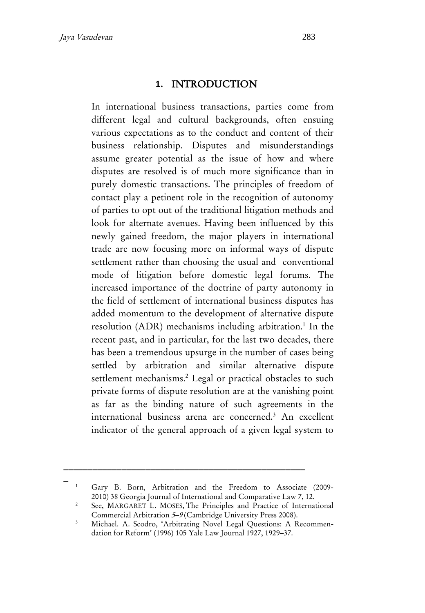### **1.** INTRODUCTION

In international business transactions, parties come from different legal and cultural backgrounds, often ensuing various expectations as to the conduct and content of their business relationship. Disputes and misunderstandings assume greater potential as the issue of how and where disputes are resolved is of much more significance than in purely domestic transactions. The principles of freedom of contact play a petinent role in the recognition of autonomy of parties to opt out of the traditional litigation methods and look for alternate avenues. Having been influenced by this newly gained freedom, the major players in international trade are now focusing more on informal ways of dispute settlement rather than choosing the usual and conventional mode of litigation before domestic legal forums. The increased importance of the doctrine of party autonomy in the field of settlement of international business disputes has added momentum to the development of alternative dispute resolution (ADR) mechanisms including arbitration.<sup>1</sup> In the recent past, and in particular, for the last two decades, there has been a tremendous upsurge in the number of cases being settled by arbitration and similar alternative dispute settlement mechanisms.<sup>2</sup> Legal or practical obstacles to such private forms of dispute resolution are at the vanishing point as far as the binding nature of such agreements in the international business arena are concerned.<sup>3</sup> An excellent indicator of the general approach of a given legal system to

<sup>1</sup> Gary B. Born, Arbitration and the Freedom to Associate (2009- 2010) 38 Georgia Journal of International and Comparative Law 7, 12.

<sup>&</sup>lt;sup>2</sup> See, MARGARET L. MOSES, The Principles and Practice of International Commercial Arbitration <sup>5</sup>–<sup>9</sup> (Cambridge University Press 2008).

<sup>&</sup>lt;sup>3</sup> Michael. A. Scodro, 'Arbitrating Novel Legal Questions: A Recommendation for Reform' (1996) 105 Yale Law Journal 1927, 1929–37.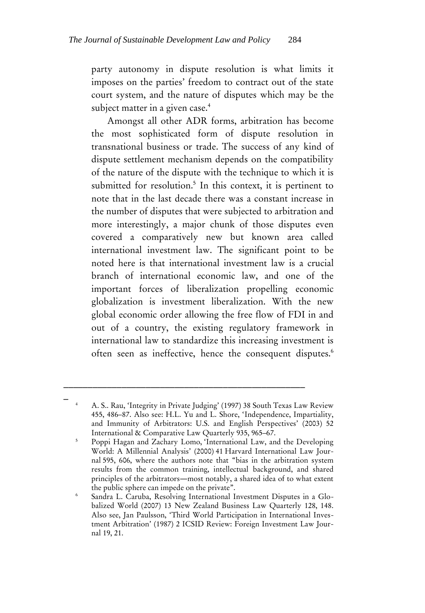party autonomy in dispute resolution is what limits it imposes on the parties' freedom to contract out of the state court system, and the nature of disputes which may be the subject matter in a given case.<sup>4</sup>

Amongst all other ADR forms, arbitration has become the most sophisticated form of dispute resolution in transnational business or trade. The success of any kind of dispute settlement mechanism depends on the compatibility of the nature of the dispute with the technique to which it is submitted for resolution. 5 In this context, it is pertinent to note that in the last decade there was a constant increase in the number of disputes that were subjected to arbitration and more interestingly, a major chunk of those disputes even covered a comparatively new but known area called international investment law. The significant point to be noted here is that international investment law is a crucial branch of international economic law, and one of the important forces of liberalization propelling economic globalization is investment liberalization. With the new global economic order allowing the free flow of FDI in and out of a country, the existing regulatory framework in international law to standardize this increasing investment is often seen as ineffective, hence the consequent disputes.<sup>6</sup>

\_ <sup>4</sup> A. S.. Rau, 'Integrity in Private Judging' (1997) 38 South Texas Law Review 455, 486–87. Also see: H.L. Yu and L. Shore, 'Independence, Impartiality, and Immunity of Arbitrators: U.S. and English Perspectives' (2003) 52 International & Comparative Law Quarterly 935, 965–67.

<sup>&</sup>lt;sup>5</sup> Poppi Hagan and Zachary Lomo, 'International Law, and the Developing World: A Millennial Analysis' (2000) 41 Harvard International Law Journal 595, 606, where the authors note that "bias in the arbitration system results from the common training, intellectual background, and shared principles of the arbitrators―most notably, a shared idea of to what extent the public sphere can impede on the private".

<sup>6</sup> Sandra L. Caruba, Resolving International Investment Disputes in a Globalized World (2007) 13 New Zealand Business Law Quarterly 128, 148. Also see, Jan Paulsson, 'Third World Participation in International Investment Arbitration' (1987) 2 ICSID Review: Foreign Investment Law Journal 19, 21.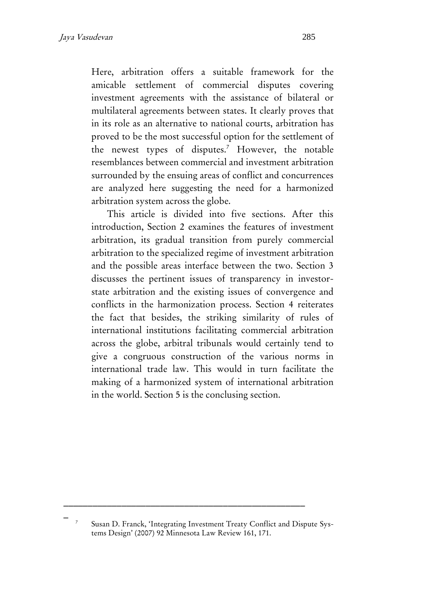Here, arbitration offers a suitable framework for the amicable settlement of commercial disputes covering investment agreements with the assistance of bilateral or multilateral agreements between states. It clearly proves that in its role as an alternative to national courts, arbitration has proved to be the most successful option for the settlement of the newest types of disputes.<sup>7</sup> However, the notable resemblances between commercial and investment arbitration surrounded by the ensuing areas of conflict and concurrences are analyzed here suggesting the need for a harmonized arbitration system across the globe.

This article is divided into five sections. After this introduction, Section 2 examines the features of investment arbitration, its gradual transition from purely commercial arbitration to the specialized regime of investment arbitration and the possible areas interface between the two. Section 3 discusses the pertinent issues of transparency in investorstate arbitration and the existing issues of convergence and conflicts in the harmonization process. Section 4 reiterates the fact that besides, the striking similarity of rules of international institutions facilitating commercial arbitration across the globe, arbitral tribunals would certainly tend to give a congruous construction of the various norms in international trade law. This would in turn facilitate the making of a harmonized system of international arbitration in the world. Section 5 is the conclusing section.

\_ <sup>7</sup> Susan D. Franck, 'Integrating Investment Treaty Conflict and Dispute Systems Design' (2007) 92 Minnesota Law Review 161, 171.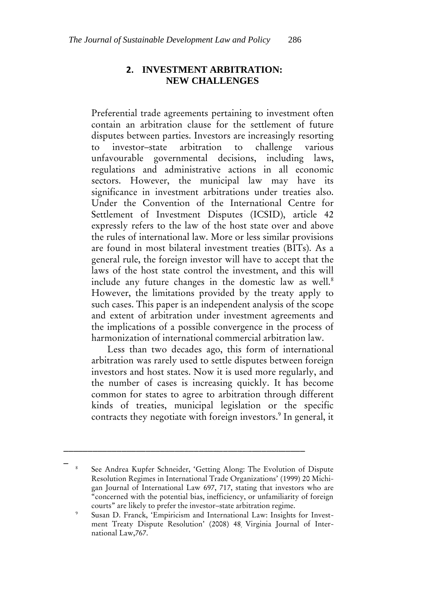#### **2. INVESTMENT ARBITRATION: NEW CHALLENGES**

Preferential trade agreements pertaining to investment often contain an arbitration clause for the settlement of future disputes between parties. Investors are increasingly resorting to investor–state arbitration to challenge various unfavourable governmental decisions, including laws, regulations and administrative actions in all economic sectors. However, the municipal law may have its significance in investment arbitrations under treaties also. Under the Convention of the International Centre for Settlement of Investment Disputes (ICSID), article 42 expressly refers to the law of the host state over and above the rules of international law. More or less similar provisions are found in most bilateral investment treaties (BITs). As a general rule, the foreign investor will have to accept that the laws of the host state control the investment, and this will include any future changes in the domestic law as well.<sup>8</sup> However, the limitations provided by the treaty apply to such cases. This paper is an independent analysis of the scope and extent of arbitration under investment agreements and the implications of a possible convergence in the process of harmonization of international commercial arbitration law.

Less than two decades ago, this form of international arbitration was rarely used to settle disputes between foreign investors and host states. Now it is used more regularly, and the number of cases is increasing quickly. It has become common for states to agree to arbitration through different kinds of treaties, municipal legislation or the specific contracts they negotiate with foreign investors.<sup>9</sup> In general, it

\_\_\_\_\_\_\_\_\_\_\_\_\_\_\_\_\_\_\_\_\_\_\_\_\_\_\_\_\_\_\_\_\_\_\_\_\_\_\_\_\_\_\_\_\_\_\_\_\_\_

See Andrea Kupfer Schneider, 'Getting Along: The Evolution of Dispute Resolution Regimes in International Trade Organizations' (1999) 20 Michigan Journal of International Law 697, 717, stating that investors who are "concerned with the potential bias, inefficiency, or unfamiliarity of foreign courts" are likely to prefer the investor–state arbitration regime.

<sup>9</sup> Susan D. Franck, 'Empiricism and International Law: Insights for Investment Treaty Dispute Resolution' (2008) 48, Virginia Journal of International Law,767.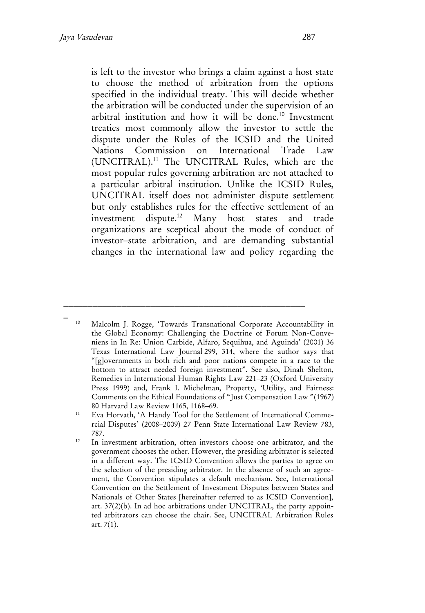is left to the investor who brings a claim against a host state to choose the method of arbitration from the options specified in the individual treaty. This will decide whether the arbitration will be conducted under the supervision of an arbitral institution and how it will be done. <sup>10</sup> Investment treaties most commonly allow the investor to settle the dispute under the Rules of the ICSID and the United Nations Commission on International Trade Law (UNCITRAL).<sup>11</sup> The UNCITRAL Rules, which are the most popular rules governing arbitration are not attached to a particular arbitral institution. Unlike the ICSID Rules, UNCITRAL itself does not administer dispute settlement but only establishes rules for the effective settlement of an investment dispute.<sup>12</sup> Many host states and trade organizations are sceptical about the mode of conduct of investor–state arbitration, and are demanding substantial changes in the international law and policy regarding the

<sup>10</sup> Malcolm J. Rogge, 'Towards Transnational Corporate Accountability in the Global Economy: Challenging the Doctrine of Forum Non-Conveniens in In Re: Union Carbide, Alfaro, Sequihua, and Aguinda' (2001) 36 Texas International Law Journal 299, 314, where the author says that "[g]overnments in both rich and poor nations compete in a race to the bottom to attract needed foreign investment". See also, Dinah Shelton, Remedies in International Human Rights Law 221–23 (Oxford University Press 1999) and, Frank I. Michelman, Property, 'Utility, and Fairness: Comments on the Ethical Foundations of "Just Compensation Law" (1967) 80 Harvard Law Review 1165, 1168–69.

<sup>11</sup> Eva Horvath, 'A Handy Tool for the Settlement of International Commercial Disputes' (2008–2009) 27 Penn State International Law Review 783, 787.

<sup>&</sup>lt;sup>12</sup> In investment arbitration, often investors choose one arbitrator, and the government chooses the other. However, the presiding arbitrator is selected in a different way. The ICSID Convention allows the parties to agree on the selection of the presiding arbitrator. In the absence of such an agreement, the Convention stipulates a default mechanism. See, International Convention on the Settlement of Investment Disputes between States and Nationals of Other States [hereinafter referred to as ICSID Convention], art. 37(2)(b). In ad hoc arbitrations under UNCITRAL, the party appointed arbitrators can choose the chair. See, UNCITRAL Arbitration Rules art. 7(1).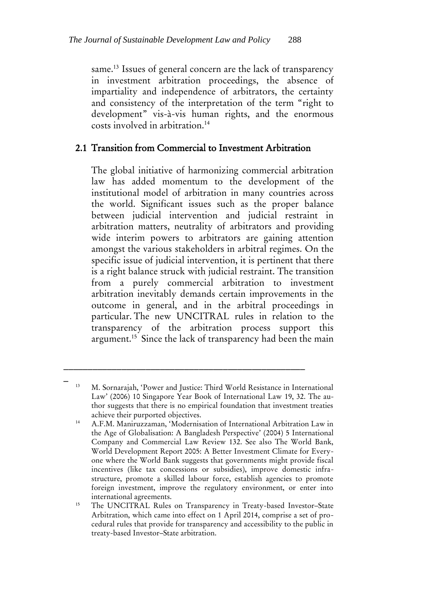same.<sup>13</sup> Issues of general concern are the lack of transparency in investment arbitration proceedings, the absence of impartiality and independence of arbitrators, the certainty and consistency of the interpretation of the term "right to development" vis-à-vis human rights, and the enormous costs involved in arbitration.<sup>14</sup>

### 2.1 Transition from Commercial to Investment Arbitration

The global initiative of harmonizing commercial arbitration law has added momentum to the development of the institutional model of arbitration in many countries across the world. Significant issues such as the proper balance between judicial intervention and judicial restraint in arbitration matters, neutrality of arbitrators and providing wide interim powers to arbitrators are gaining attention amongst the various stakeholders in arbitral regimes. On the specific issue of judicial intervention, it is pertinent that there is a right balance struck with judicial restraint. The transition from a purely commercial arbitration to investment arbitration inevitably demands certain improvements in the outcome in general, and in the arbitral proceedings in particular. The new UNCITRAL rules in relation to the transparency of the arbitration process support this argument.<sup>15</sup> Since the lack of transparency had been the main

\_\_\_\_\_\_\_\_\_\_\_\_\_\_\_\_\_\_\_\_\_\_\_\_\_\_\_\_\_\_\_\_\_\_\_\_\_\_\_\_\_\_\_\_\_\_\_\_\_\_

<sup>13</sup> M. Sornarajah, 'Power and Justice: Third World Resistance in International Law' (2006) 10 Singapore Year Book of International Law 19, 32. The author suggests that there is no empirical foundation that investment treaties achieve their purported objectives.

<sup>14</sup> A.F.M. Maniruzzaman, 'Modernisation of International Arbitration Law in the Age of Globalisation: A Bangladesh Perspective' (2004) 5 International Company and Commercial Law Review 132. See also The World Bank, World Development Report 2005: A Better Investment Climate for Everyone where the World Bank suggests that governments might provide fiscal incentives (like tax concessions or subsidies), improve domestic infrastructure, promote a skilled labour force, establish agencies to promote foreign investment, improve the regulatory environment, or enter into international agreements.

<sup>&</sup>lt;sup>15</sup> The UNCITRAL Rules on Transparency in Treaty-based Investor-State Arbitration, which came into effect on 1 April 2014, comprise a set of procedural rules that provide for transparency and accessibility to the public in treaty-based Investor–State arbitration.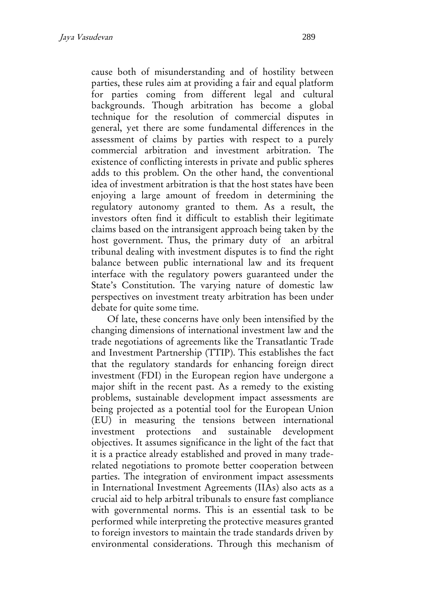cause both of misunderstanding and of hostility between parties, these rules aim at providing a fair and equal platform for parties coming from different legal and cultural backgrounds. Though arbitration has become a global technique for the resolution of commercial disputes in general, yet there are some fundamental differences in the assessment of claims by parties with respect to a purely commercial arbitration and investment arbitration. The existence of conflicting interests in private and public spheres adds to this problem. On the other hand, the conventional idea of investment arbitration is that the host states have been enjoying a large amount of freedom in determining the regulatory autonomy granted to them. As a result, the investors often find it difficult to establish their legitimate claims based on the intransigent approach being taken by the host government. Thus, the primary duty of an arbitral tribunal dealing with investment disputes is to find the right balance between public international law and its frequent interface with the regulatory powers guaranteed under the State's Constitution. The varying nature of domestic law perspectives on investment treaty arbitration has been under debate for quite some time.

Of late, these concerns have only been intensified by the changing dimensions of international investment law and the trade negotiations of agreements like the Transatlantic Trade and Investment Partnership (TTIP). This establishes the fact that the regulatory standards for enhancing foreign direct investment (FDI) in the European region have undergone a major shift in the recent past. As a remedy to the existing problems, sustainable development impact assessments are being projected as a potential tool for the European Union (EU) in measuring the tensions between international investment protections and sustainable development objectives. It assumes significance in the light of the fact that it is a practice already established and proved in many traderelated negotiations to promote better cooperation between parties. The integration of environment impact assessments in International Investment Agreements (IIAs) also acts as a crucial aid to help arbitral tribunals to ensure fast compliance with governmental norms. This is an essential task to be performed while interpreting the protective measures granted to foreign investors to maintain the trade standards driven by environmental considerations. Through this mechanism of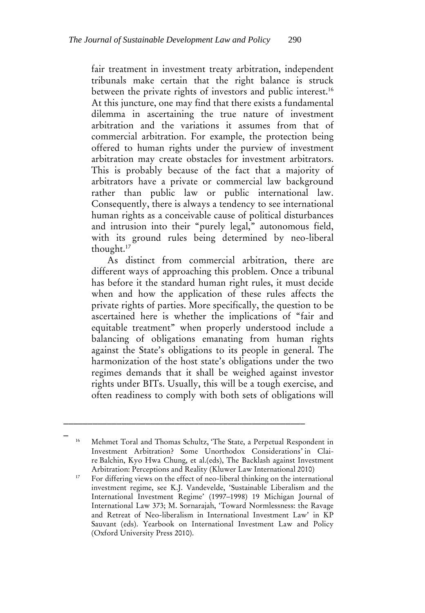fair treatment in investment treaty arbitration, independent tribunals make certain that the right balance is struck between the private rights of investors and public interest.<sup>16</sup> At this juncture, one may find that there exists a fundamental dilemma in ascertaining the true nature of investment arbitration and the variations it assumes from that of commercial arbitration. For example, the protection being offered to human rights under the purview of investment arbitration may create obstacles for investment arbitrators. This is probably because of the fact that a majority of arbitrators have a private or commercial law background rather than public law or public international law. Consequently, there is always a tendency to see international human rights as a conceivable cause of political disturbances and intrusion into their "purely legal," autonomous field, with its ground rules being determined by neo-liberal thought. 17

As distinct from commercial arbitration, there are different ways of approaching this problem. Once a tribunal has before it the standard human right rules, it must decide when and how the application of these rules affects the private rights of parties. More specifically, the question to be ascertained here is whether the implications of "fair and equitable treatment" when properly understood include a balancing of obligations emanating from human rights against the State's obligations to its people in general. The harmonization of the host state's obligations under the two regimes demands that it shall be weighed against investor rights under BITs. Usually, this will be a tough exercise, and often readiness to comply with both sets of obligations will

\_\_\_\_\_\_\_\_\_\_\_\_\_\_\_\_\_\_\_\_\_\_\_\_\_\_\_\_\_\_\_\_\_\_\_\_\_\_\_\_\_\_\_\_\_\_\_\_\_\_

<sup>16</sup> Mehmet Toral and Thomas Schultz, 'The State, a Perpetual Respondent in Investment Arbitration? Some Unorthodox Considerations' in Claire Balchin, Kyo Hwa Chung, et al.(eds), The Backlash against Investment Arbitration: Perceptions and Reality (Kluwer Law International 2010)

<sup>&</sup>lt;sup>17</sup> For differing views on the effect of neo-liberal thinking on the international investment regime, see K.J. Vandevelde, 'Sustainable Liberalism and the International Investment Regime' (1997–1998) 19 Michigan Journal of International Law 373; M. Sornarajah, 'Toward Normlessness: the Ravage and Retreat of Neo-liberalism in International Investment Law' in KP Sauvant (eds). Yearbook on International Investment Law and Policy (Oxford University Press 2010).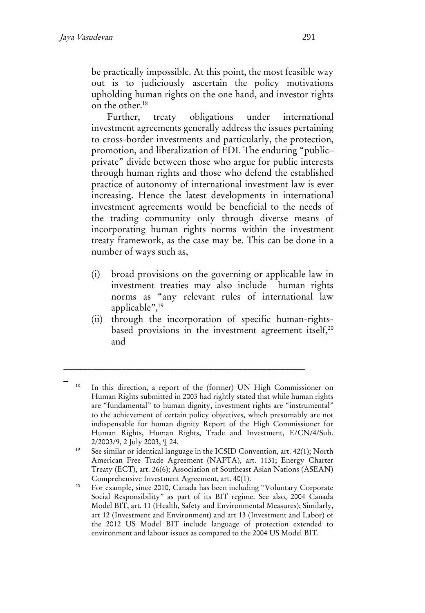be practically impossible. At this point, the most feasible way out is to judiciously ascertain the policy motivations upholding human rights on the one hand, and investor rights on the other.<sup>18</sup>

Further, treaty obligations under international investment agreements generally address the issues pertaining to cross-border investments and particularly, the protection, promotion, and liberalization of FDI. The enduring "public– private" divide between those who argue for public interests through human rights and those who defend the established practice of autonomy of international investment law is ever increasing. Hence the latest developments in international investment agreements would be beneficial to the needs of the trading community only through diverse means of incorporating human rights norms within the investment treaty framework, as the case may be. This can be done in a number of ways such as,

- (i) broad provisions on the governing or applicable law in investment treaties may also include human rights norms as "any relevant rules of international law applicable",<sup>19</sup>
- (ii) through the incorporation of specific human-rightsbased provisions in the investment agreement itself,  $20$ and

<sup>18</sup> In this direction, a report of the (former) UN High Commissioner on Human Rights submitted in 2003 had rightly stated that while human rights are "fundamental" to human dignity, investment rights are "instrumental" to the achievement of certain policy objectives, which presumably are not indispensable for human dignity Report of the High Commissioner for Human Rights, Human Rights, Trade and Investment, E/CN/4/Sub. 2/2003/9, 2 July 2003, ¶ 24.

See similar or identical language in the ICSID Convention, art. 42(1); North American Free Trade Agreement (NAFTA), art. 1131; Energy Charter Treaty (ECT), art. 26(6); Association of Southeast Asian Nations (ASEAN) Comprehensive Investment Agreement, art. 40(1).

<sup>&</sup>lt;sup>20</sup> For example, since 2010, Canada has been including "Voluntary Corporate Social Responsibility" as part of its BIT regime. See also, 2004 Canada Model BIT, art. 11 (Health, Safety and Environmental Measures); Similarly, art 12 (Investment and Environment) and art 13 (Investment and Labor) of the 2012 US Model BIT include language of protection extended to environment and labour issues as compared to the 2004 US Model BIT.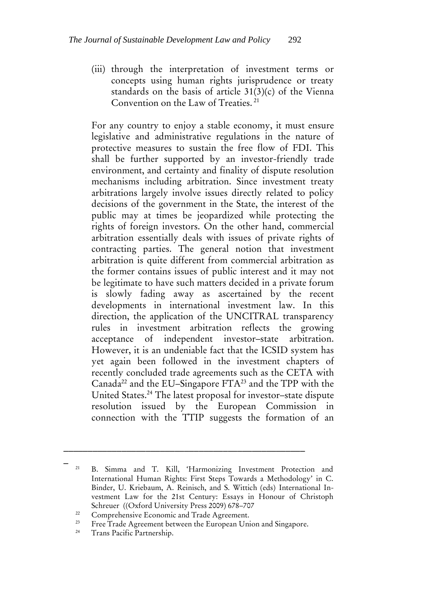(iii) through the interpretation of investment terms or concepts using human rights jurisprudence or treaty standards on the basis of article 31(3)(c) of the Vienna Convention on the Law of Treaties. <sup>21</sup>

For any country to enjoy a stable economy, it must ensure legislative and administrative regulations in the nature of protective measures to sustain the free flow of FDI. This shall be further supported by an investor-friendly trade environment, and certainty and finality of dispute resolution mechanisms including arbitration. Since investment treaty arbitrations largely involve issues directly related to policy decisions of the government in the State, the interest of the public may at times be jeopardized while protecting the rights of foreign investors. On the other hand, commercial arbitration essentially deals with issues of private rights of contracting parties. The general notion that investment arbitration is quite different from commercial arbitration as the former contains issues of public interest and it may not be legitimate to have such matters decided in a private forum is slowly fading away as ascertained by the recent developments in international investment law. In this direction, the application of the UNCITRAL transparency rules in investment arbitration reflects the growing acceptance of independent investor–state arbitration. However, it is an undeniable fact that the ICSID system has yet again been followed in the investment chapters of recently concluded trade agreements such as the CETA with Canada<sup>22</sup> and the EU–Singapore  $FTA^{23}$  and the TPP with the United States.<sup>24</sup> The latest proposal for investor–state dispute resolution issued by the European Commission in connection with the TTIP suggests the formation of an

\_\_\_\_\_\_\_\_\_\_\_\_\_\_\_\_\_\_\_\_\_\_\_\_\_\_\_\_\_\_\_\_\_\_\_\_\_\_\_\_\_\_\_\_\_\_\_\_\_\_

<sup>21</sup> B. Simma and T. Kill, 'Harmonizing Investment Protection and International Human Rights: First Steps Towards a Methodology' in C. Binder, U. Kriebaum, A. Reinisch, and S. Wittich (eds) International Investment Law for the 21st Century: Essays in Honour of Christoph Schreuer ((Oxford University Press 2009) 678–707

<sup>&</sup>lt;sup>22</sup> Comprehensive Economic and Trade Agreement.<br><sup>23</sup> Eree Trade Agreement between the European Uni

<sup>&</sup>lt;sup>23</sup> Free Trade Agreement between the European Union and Singapore.<br><sup>24</sup> Trans Pacific Partnership

Trans Pacific Partnership.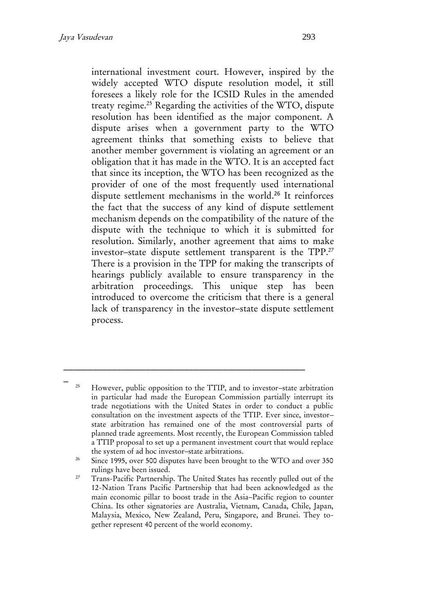international investment court. However, inspired by the widely accepted WTO dispute resolution model, it still foresees a likely role for the ICSID Rules in the amended treaty regime.<sup>25</sup> Regarding the activities of the WTO, dispute resolution has been identified as the major component. A dispute arises when a government party to the WTO agreement thinks that something exists to believe that another member government is violating an agreement or an obligation that it has made in the WTO. It is an accepted fact that since its inception, the WTO has been recognized as the provider of one of the most frequently used international dispute settlement mechanisms in the world.<sup>26</sup> It reinforces the fact that the success of any kind of dispute settlement mechanism depends on the compatibility of the nature of the dispute with the technique to which it is submitted for resolution. Similarly, another agreement that aims to make investor–state dispute settlement transparent is the TPP.<sup>27</sup> There is a provision in the TPP for making the transcripts of hearings publicly available to ensure transparency in the arbitration proceedings. This unique step has been introduced to overcome the criticism that there is a general lack of transparency in the investor–state dispute settlement process.

 $-$ <sub>25</sub> <sup>25</sup> However, public opposition to the TTIP, and to investor–state arbitration in particular had made the European Commission partially interrupt its trade negotiations with the United States in order to conduct a public consultation on the investment aspects of the TTIP. Ever since, investor– state arbitration has remained one of the most controversial parts of planned trade agreements. Most recently, the European Commission tabled a TTIP proposal to set up a permanent investment court that would replace the system of ad hoc investor–state arbitrations.

<sup>&</sup>lt;sup>26</sup> Since 1995, over 500 disputes have been brought to the WTO and over 350 rulings have been issued.

<sup>&</sup>lt;sup>27</sup> Trans-Pacific Partnership. The United States has recently pulled out of the 12-Nation Trans Pacific Partnership that had been acknowledged as the main economic pillar to boost trade in the Asia–Pacific region to counter China. Its other signatories are Australia, Vietnam, Canada, Chile, Japan, Malaysia, Mexico, New Zealand, Peru, Singapore, and Brunei. They together represent 40 percent of the world economy.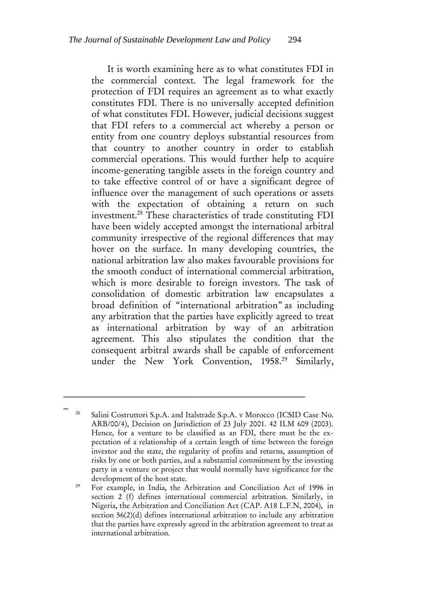It is worth examining here as to what constitutes FDI in the commercial context. The legal framework for the protection of FDI requires an agreement as to what exactly constitutes FDI. There is no universally accepted definition of what constitutes FDI. However, judicial decisions suggest that FDI refers to a commercial act whereby a person or entity from one country deploys substantial resources from that country to another country in order to establish commercial operations. This would further help to acquire income-generating tangible assets in the foreign country and to take effective control of or have a significant degree of influence over the management of such operations or assets with the expectation of obtaining a return on such investment.<sup>28</sup> These characteristics of trade constituting FDI have been widely accepted amongst the international arbitral community irrespective of the regional differences that may hover on the surface. In many developing countries, the national arbitration law also makes favourable provisions for the smooth conduct of international commercial arbitration, which is more desirable to foreign investors. The task of consolidation of domestic arbitration law encapsulates a broad definition of "international arbitration" as including any arbitration that the parties have explicitly agreed to treat as international arbitration by way of an arbitration agreement. This also stipulates the condition that the consequent arbitral awards shall be capable of enforcement under the New York Convention, 1958.<sup>29</sup> Similarly,

\_\_\_\_\_\_\_\_\_\_\_\_\_\_\_\_\_\_\_\_\_\_\_\_\_\_\_\_\_\_\_\_\_\_\_\_\_\_\_\_\_\_\_\_\_\_\_\_\_\_

Salini Costruttori S.p.A. and Italstrade S.p.A. v Morocco (ICSID Case No. ARB/00/4), Decision on Jurisdiction of 23 July 2001. 42 ILM 609 (2003). Hence, for a venture to be classified as an FDI, there must be the expectation of a relationship of a certain length of time between the foreign investor and the state, the regularity of profits and returns, assumption of risks by one or both parties, and a substantial commitment by the investing party in a venture or project that would normally have significance for the development of the host state.

<sup>&</sup>lt;sup>29</sup> For example, in India, the Arbitration and Conciliation Act of 1996 in section 2 (f) defines international commercial arbitration. Similarly, in Nigeria, the Arbitration and Conciliation Act (CAP. A18 L.F.N, 2004), in section 56(2)(d) defines international arbitration to include any arbitration that the parties have expressly agreed in the arbitration agreement to treat as international arbitration.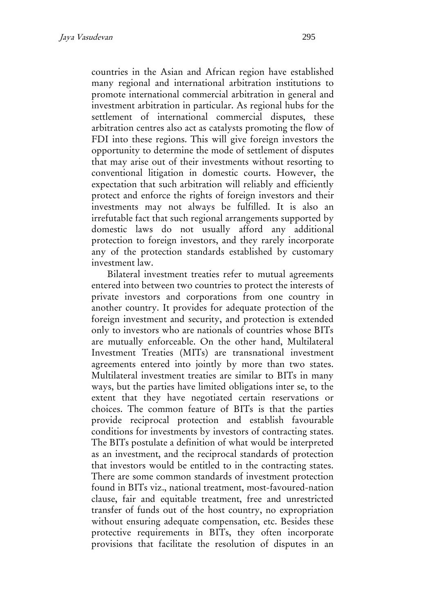countries in the Asian and African region have established many regional and international arbitration institutions to promote international commercial arbitration in general and investment arbitration in particular. As regional hubs for the settlement of international commercial disputes, these arbitration centres also act as catalysts promoting the flow of FDI into these regions. This will give foreign investors the opportunity to determine the mode of settlement of disputes that may arise out of their investments without resorting to conventional litigation in domestic courts. However, the expectation that such arbitration will reliably and efficiently protect and enforce the rights of foreign investors and their investments may not always be fulfilled. It is also an irrefutable fact that such regional arrangements supported by domestic laws do not usually afford any additional protection to foreign investors, and they rarely incorporate any of the protection standards established by customary investment law.

Bilateral investment treaties refer to mutual agreements entered into between two countries to protect the interests of private investors and corporations from one country in another country. It provides for adequate protection of the foreign investment and security, and protection is extended only to investors who are nationals of countries whose BITs are mutually enforceable. On the other hand, Multilateral Investment Treaties (MITs) are transnational investment agreements entered into jointly by more than two states. Multilateral investment treaties are similar to BITs in many ways, but the parties have limited obligations inter se, to the extent that they have negotiated certain reservations or choices. The common feature of BITs is that the parties provide reciprocal protection and establish favourable conditions for investments by investors of contracting states. The BITs postulate a definition of what would be interpreted as an investment, and the reciprocal standards of protection that investors would be entitled to in the contracting states. There are some common standards of investment protection found in BITs viz., national treatment, most-favoured-nation clause, fair and equitable treatment, free and unrestricted transfer of funds out of the host country, no expropriation without ensuring adequate compensation, etc. Besides these protective requirements in BITs, they often incorporate provisions that facilitate the resolution of disputes in an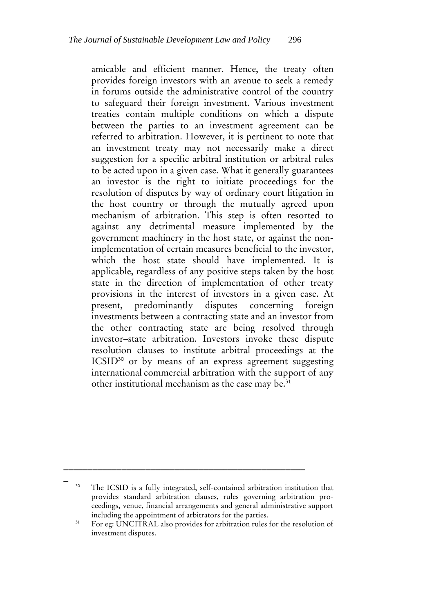amicable and efficient manner. Hence, the treaty often provides foreign investors with an avenue to seek a remedy in forums outside the administrative control of the country to safeguard their foreign investment. Various investment treaties contain multiple conditions on which a dispute between the parties to an investment agreement can be referred to arbitration. However, it is pertinent to note that an investment treaty may not necessarily make a direct suggestion for a specific arbitral institution or arbitral rules to be acted upon in a given case. What it generally guarantees an investor is the right to initiate proceedings for the resolution of disputes by way of ordinary court litigation in the host country or through the mutually agreed upon mechanism of arbitration. This step is often resorted to against any detrimental measure implemented by the government machinery in the host state, or against the nonimplementation of certain measures beneficial to the investor, which the host state should have implemented. It is applicable, regardless of any positive steps taken by the host state in the direction of implementation of other treaty provisions in the interest of investors in a given case. At present, predominantly disputes concerning foreign investments between a contracting state and an investor from the other contracting state are being resolved through investor–state arbitration. Investors invoke these dispute resolution clauses to institute arbitral proceedings at the ICSID<sup>30</sup> or by means of an express agreement suggesting international commercial arbitration with the support of any other institutional mechanism as the case may be.<sup>31</sup>

\_\_\_\_\_\_\_\_\_\_\_\_\_\_\_\_\_\_\_\_\_\_\_\_\_\_\_\_\_\_\_\_\_\_\_\_\_\_\_\_\_\_\_\_\_\_\_\_\_\_

<sup>&</sup>lt;sup>30</sup> The ICSID is a fully integrated, self-contained arbitration institution that provides standard arbitration clauses, rules governing arbitration proceedings, venue, financial arrangements and general administrative support including the appointment of arbitrators for the parties.

<sup>&</sup>lt;sup>31</sup> For eg: UNCITRAL also provides for arbitration rules for the resolution of investment disputes.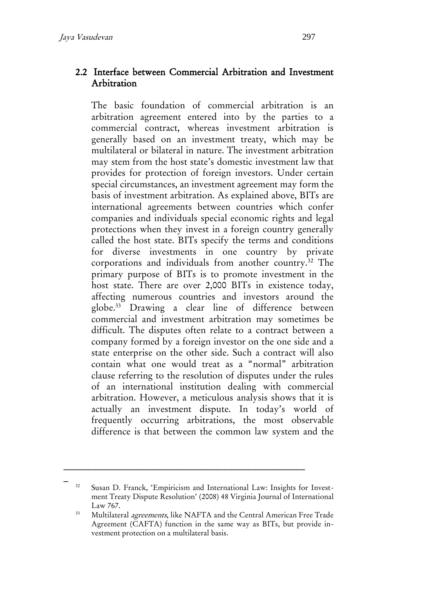#### 2.2 Interface between Commercial Arbitration and Investment Arbitration

The basic foundation of commercial arbitration is an arbitration agreement entered into by the parties to a commercial contract, whereas investment arbitration is generally based on an investment treaty, which may be multilateral or bilateral in nature. The investment arbitration may stem from the host state's domestic investment law that provides for protection of foreign investors. Under certain special circumstances, an investment agreement may form the basis of investment arbitration. As explained above, BITs are international agreements between countries which confer companies and individuals special economic rights and legal protections when they invest in a foreign country generally called the host state. BITs specify the terms and conditions for diverse investments in one country by private corporations and individuals from another country.<sup>32</sup> The primary purpose of BITs is to promote investment in the host state. There are over 2,000 BITs in existence today, affecting numerous countries and investors around the globe.<sup>33</sup> Drawing a clear line of difference between commercial and investment arbitration may sometimes be difficult. The disputes often relate to a contract between a company formed by a foreign investor on the one side and a state enterprise on the other side. Such a contract will also contain what one would treat as a "normal" arbitration clause referring to the resolution of disputes under the rules of an international institution dealing with commercial arbitration. However, a meticulous analysis shows that it is actually an investment dispute. In today's world of frequently occurring arbitrations, the most observable difference is that between the common law system and the

<sup>&</sup>lt;sup>32</sup> Susan D. Franck, 'Empiricism and International Law: Insights for Investment Treaty Dispute Resolution' (2008) 48 Virginia Journal of International Law 767.

<sup>&</sup>lt;sup>33</sup> Multilateral *agreements*, like NAFTA and the Central American Free Trade Agreement (CAFTA) function in the same way as BITs, but provide investment protection on a multilateral basis.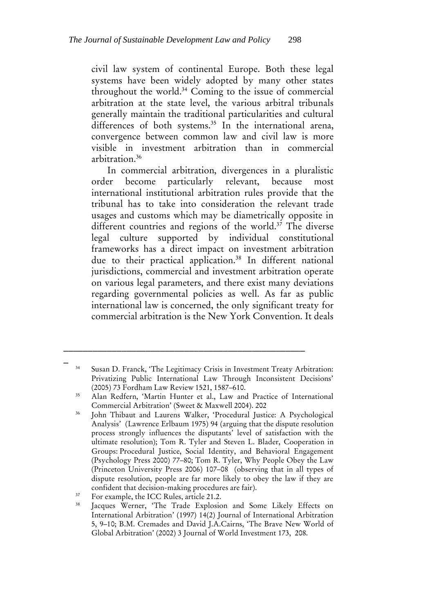civil law system of continental Europe. Both these legal systems have been widely adopted by many other states throughout the world.<sup>34</sup> Coming to the issue of commercial arbitration at the state level, the various arbitral tribunals generally maintain the traditional particularities and cultural differences of both systems. <sup>35</sup> In the international arena, convergence between common law and civil law is more visible in investment arbitration than in commercial arbitration.<sup>36</sup>

In commercial arbitration, divergences in a pluralistic order become particularly relevant, because most international institutional arbitration rules provide that the tribunal has to take into consideration the relevant trade usages and customs which may be diametrically opposite in different countries and regions of the world.<sup>37</sup> The diverse legal culture supported by individual constitutional frameworks has a direct impact on investment arbitration due to their practical application.<sup>38</sup> In different national jurisdictions, commercial and investment arbitration operate on various legal parameters, and there exist many deviations regarding governmental policies as well. As far as public international law is concerned, the only significant treaty for commercial arbitration is the New York Convention. It deals

\_\_\_\_\_\_\_\_\_\_\_\_\_\_\_\_\_\_\_\_\_\_\_\_\_\_\_\_\_\_\_\_\_\_\_\_\_\_\_\_\_\_\_\_\_\_\_\_\_\_

<sup>34</sup> Susan D. Franck, 'The Legitimacy Crisis in Investment Treaty Arbitration: Privatizing Public International Law Through Inconsistent Decisions' (2005) 73 Fordham Law Review 1521, 1587–610.

<sup>35</sup> Alan Redfern, 'Martin Hunter et al., Law and Practice of International Commercial Arbitration' (Sweet & Maxwell 2004). 202

<sup>36</sup> John Thibaut and Laurens Walker, 'Procedural Justice: A Psychological Analysis' (Lawrence Erlbaum 1975) 94 (arguing that the dispute resolution process strongly influences the disputants' level of satisfaction with the ultimate resolution); Tom R. Tyler and Steven L. Blader, Cooperation in Groups: Procedural Justice, Social Identity, and Behavioral Engagement (Psychology Press 2000) 77–80; Tom R. Tyler, Why People Obey the Law (Princeton University Press 2006) 107–08 (observing that in all types of dispute resolution, people are far more likely to obey the law if they are confident that decision-making procedures are fair).

<sup>&</sup>lt;sup>37</sup> For example, the ICC Rules, article 21.2.

<sup>38</sup> Jacques Werner, 'The Trade Explosion and Some Likely Effects on International Arbitration' (1997) 14(2) Journal of International Arbitration 5, 9–10; B.M. Cremades and David J.A.Cairns, 'The Brave New World of Global Arbitration' (2002) 3 Journal of World Investment 173, 208.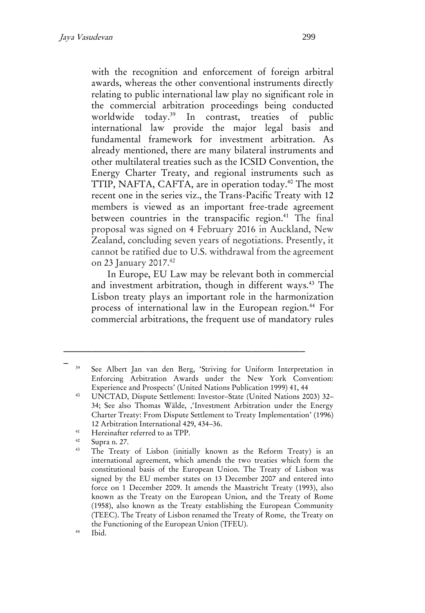with the recognition and enforcement of foreign arbitral awards, whereas the other conventional instruments directly relating to public international law play no significant role in the commercial arbitration proceedings being conducted worldwide today.<sup>39</sup> In contrast, treaties of public international law provide the major legal basis and fundamental framework for investment arbitration. As already mentioned, there are many bilateral instruments and other multilateral treaties such as the ICSID Convention, the Energy Charter Treaty, and regional instruments such as TTIP, NAFTA, CAFTA, are in operation today.<sup>40</sup> The most recent one in the series viz., the Trans-Pacific Treaty with 12 members is viewed as an important free-trade agreement between countries in the transpacific region.<sup>41</sup> The final proposal was signed on 4 February 2016 in Auckland, New Zealand, concluding seven years of negotiations. Presently, it cannot be ratified due to U.S. withdrawal from the agreement on 23 January 2017.<sup>42</sup>

In Europe, EU Law may be relevant both in commercial and investment arbitration, though in different ways.<sup>43</sup> The Lisbon treaty plays an important role in the harmonization process of international law in the European region.<sup>44</sup> For commercial arbitrations, the frequent use of mandatory rules

\_\_\_\_\_\_\_\_\_\_\_\_\_\_\_\_\_\_\_\_\_\_\_\_\_\_\_\_\_\_\_\_\_\_\_\_\_\_\_\_\_\_\_\_\_\_\_\_\_\_

<sup>41</sup> Hereinafter referred to as TPP.

<sup>39</sup> See Albert Jan van den Berg, 'Striving for Uniform Interpretation in Enforcing Arbitration Awards under the New York Convention: Experience and Prospects' (United Nations Publication 1999) 41, 44

<sup>40</sup> UNCTAD, Dispute Settlement: Investor–State (United Nations 2003) 32– 34; See also Thomas Wälde, ''Investment Arbitration under the Energy Charter Treaty: From Dispute Settlement to Treaty Implementation' (1996) 12 Arbitration International 429, 434–36.

 $\frac{42}{43}$  Supra n. 27.

The Treaty of Lisbon (initially known as the Reform Treaty) is an international agreement, which amends the two treaties which form the constitutional basis of the European Union. The Treaty of Lisbon was signed by the EU member states on 13 December 2007 and entered into force on 1 December 2009. It amends the Maastricht Treaty (1993), also known as the Treaty on the European Union, and the Treaty of Rome (1958), also known as the Treaty establishing the European Community (TEEC). The Treaty of Lisbon renamed the Treaty of Rome, the Treaty on the Functioning of the European Union (TFEU).

<sup>44</sup> Ibid.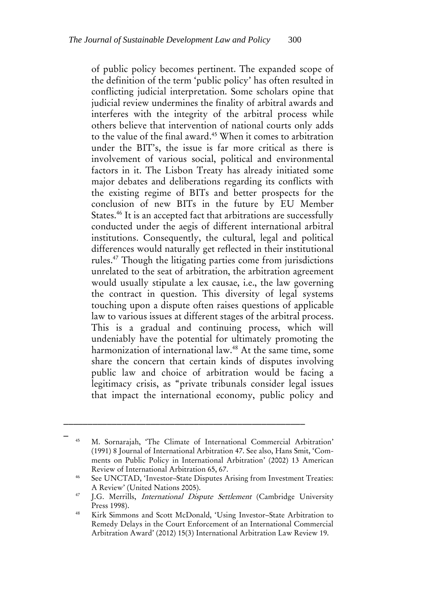of public policy becomes pertinent. The expanded scope of the definition of the term 'public policy' has often resulted in conflicting judicial interpretation. Some scholars opine that judicial review undermines the finality of arbitral awards and interferes with the integrity of the arbitral process while others believe that intervention of national courts only adds to the value of the final award. <sup>45</sup> When it comes to arbitration under the BIT's, the issue is far more critical as there is involvement of various social, political and environmental factors in it. The Lisbon Treaty has already initiated some major debates and deliberations regarding its conflicts with the existing regime of BITs and better prospects for the conclusion of new BITs in the future by EU Member States. <sup>46</sup> It is an accepted fact that arbitrations are successfully conducted under the aegis of different international arbitral institutions. Consequently, the cultural, legal and political differences would naturally get reflected in their institutional rules.<sup>47</sup> Though the litigating parties come from jurisdictions unrelated to the seat of arbitration, the arbitration agreement would usually stipulate a lex causae, i.e., the law governing the contract in question. This diversity of legal systems touching upon a dispute often raises questions of applicable law to various issues at different stages of the arbitral process. This is a gradual and continuing process, which will undeniably have the potential for ultimately promoting the harmonization of international law.<sup>48</sup> At the same time, some share the concern that certain kinds of disputes involving public law and choice of arbitration would be facing a legitimacy crisis, as "private tribunals consider legal issues that impact the international economy, public policy and

\_\_\_\_\_\_\_\_\_\_\_\_\_\_\_\_\_\_\_\_\_\_\_\_\_\_\_\_\_\_\_\_\_\_\_\_\_\_\_\_\_\_\_\_\_\_\_\_\_\_

<sup>45</sup> M. Sornarajah, 'The Climate of International Commercial Arbitration' (1991) 8 Journal of International Arbitration 47. See also, Hans Smit, 'Comments on Public Policy in International Arbitration' (2002) 13 American Review of International Arbitration 65, 67.

<sup>46</sup> See UNCTAD, 'Investor–State Disputes Arising from Investment Treaties: A Review' (United Nations 2005).

<sup>&</sup>lt;sup>47</sup> J.G. Merrills, *International Dispute Settlement* (Cambridge University Press 1998).

<sup>48</sup> Kirk Simmons and Scott McDonald, 'Using Investor–State Arbitration to Remedy Delays in the Court Enforcement of an International Commercial Arbitration Award' (2012) 15(3) International Arbitration Law Review 19.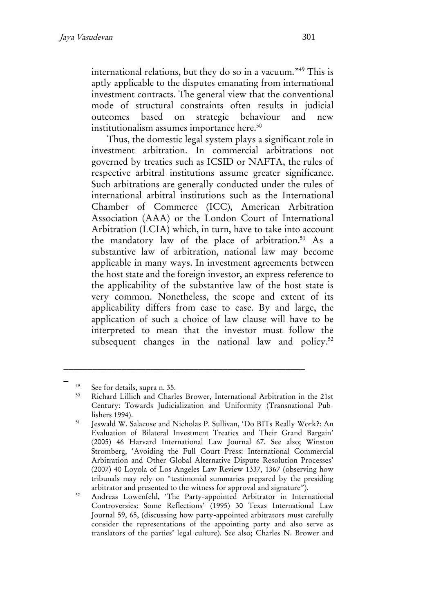international relations, but they do so in a vacuum."<sup>49</sup> This is aptly applicable to the disputes emanating from international investment contracts. The general view that the conventional mode of structural constraints often results in judicial outcomes based on strategic behaviour and new institutionalism assumes importance here.<sup>50</sup>

Thus, the domestic legal system plays a significant role in investment arbitration. In commercial arbitrations not governed by treaties such as ICSID or NAFTA, the rules of respective arbitral institutions assume greater significance. Such arbitrations are generally conducted under the rules of international arbitral institutions such as the International Chamber of Commerce (ICC), American Arbitration Association (AAA) or the London Court of International Arbitration (LCIA) which, in turn, have to take into account the mandatory law of the place of arbitration.<sup>51</sup> As a substantive law of arbitration, national law may become applicable in many ways. In investment agreements between the host state and the foreign investor, an express reference to the applicability of the substantive law of the host state is very common. Nonetheless, the scope and extent of its applicability differs from case to case. By and large, the application of such a choice of law clause will have to be interpreted to mean that the investor must follow the subsequent changes in the national law and policy.<sup>52</sup>

\_

<sup>49</sup> See for details, supra n. 35.

<sup>50</sup> Richard Lillich and Charles Brower, International Arbitration in the 21st Century: Towards Judicialization and Uniformity (Transnational Publishers 1994).

<sup>51</sup> Jeswald W. Salacuse and Nicholas P. Sullivan, 'Do BITs Really Work?: An Evaluation of Bilateral Investment Treaties and Their Grand Bargain' (2005) 46 Harvard International Law Journal 67. See also; Winston Stromberg, 'Avoiding the Full Court Press: International Commercial Arbitration and Other Global Alternative Dispute Resolution Processes' (2007) 40 Loyola of Los Angeles Law Review 1337, 1367 (observing how tribunals may rely on "testimonial summaries prepared by the presiding arbitrator and presented to the witness for approval and signature").

<sup>&</sup>lt;sup>52</sup> Andreas Lowenfeld, 'The Party-appointed Arbitrator in International Controversies: Some Reflections' (1995) 30 Texas International Law Journal 59, 65, (discussing how party-appointed arbitrators must carefully consider the representations of the appointing party and also serve as translators of the parties' legal culture). See also; Charles N. Brower and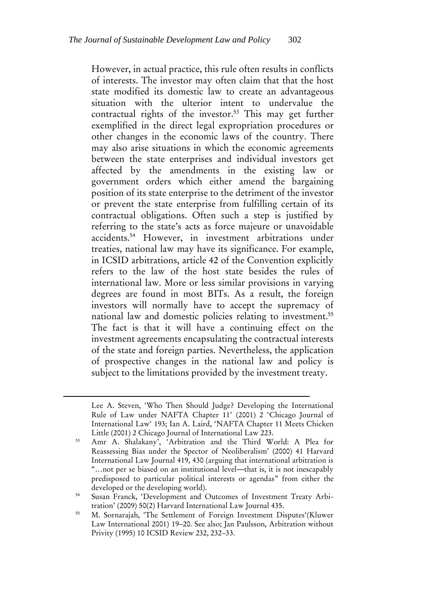However, in actual practice, this rule often results in conflicts of interests. The investor may often claim that that the host state modified its domestic law to create an advantageous situation with the ulterior intent to undervalue the contractual rights of the investor.<sup>53</sup> This may get further exemplified in the direct legal expropriation procedures or other changes in the economic laws of the country. There may also arise situations in which the economic agreements between the state enterprises and individual investors get affected by the amendments in the existing law or government orders which either amend the bargaining position of its state enterprise to the detriment of the investor or prevent the state enterprise from fulfilling certain of its contractual obligations. Often such a step is justified by referring to the state's acts as force majeure or unavoidable accidents.<sup>54</sup> However, in investment arbitrations under treaties, national law may have its significance. For example, in ICSID arbitrations, article 42 of the Convention explicitly refers to the law of the host state besides the rules of international law. More or less similar provisions in varying degrees are found in most BITs. As a result, the foreign investors will normally have to accept the supremacy of national law and domestic policies relating to investment.<sup>55</sup> The fact is that it will have a continuing effect on the investment agreements encapsulating the contractual interests of the state and foreign parties. Nevertheless, the application of prospective changes in the national law and policy is subject to the limitations provided by the investment treaty.

 $\overline{a}$ 

Lee A. Steven, 'Who Then Should Judge? Developing the International Rule of Law under NAFTA Chapter 11' (2001) 2 'Chicago Journal of International Law' 193; Ian A. Laird, 'NAFTA Chapter 11 Meets Chicken Little (2001) 2 Chicago Journal of International Law 223.

<sup>53</sup> Amr A. Shalakany', 'Arbitration and the Third World: A Plea for Reassessing Bias under the Spector of Neoliberalism' (2000) 41 Harvard International Law Journal 419, 430 (arguing that international arbitration is "…not per se biased on an institutional level―that is, it is not inescapably predisposed to particular political interests or agendas" from either the developed or the developing world).

<sup>54</sup> Susan Franck, 'Development and Outcomes of Investment Treaty Arbitration' (2009) 50(2) Harvard International Law Journal 435.

<sup>55</sup> M. Sornarajah, 'The Settlement of Foreign Investment Disputes'(Kluwer Law International 2001) 19–20. See also; Jan Paulsson, Arbitration without Privity (1995) 10 ICSID Review 232, 232–33.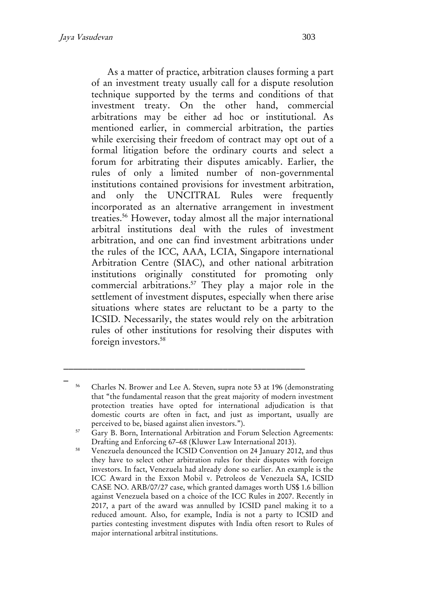As a matter of practice, arbitration clauses forming a part of an investment treaty usually call for a dispute resolution technique supported by the terms and conditions of that investment treaty. On the other hand, commercial arbitrations may be either ad hoc or institutional. As mentioned earlier, in commercial arbitration, the parties while exercising their freedom of contract may opt out of a formal litigation before the ordinary courts and select a forum for arbitrating their disputes amicably. Earlier, the rules of only a limited number of non-governmental institutions contained provisions for investment arbitration, and only the UNCITRAL Rules were frequently incorporated as an alternative arrangement in investment treaties. <sup>56</sup> However, today almost all the major international arbitral institutions deal with the rules of investment arbitration, and one can find investment arbitrations under the rules of the ICC, AAA, LCIA, Singapore international Arbitration Centre (SIAC), and other national arbitration institutions originally constituted for promoting only commercial arbitrations.<sup>57</sup> They play a major role in the settlement of investment disputes, especially when there arise situations where states are reluctant to be a party to the ICSID. Necessarily, the states would rely on the arbitration rules of other institutions for resolving their disputes with foreign investors.<sup>58</sup>

<sup>56</sup> Charles N. Brower and Lee A. Steven, supra note 53 at 196 (demonstrating that "the fundamental reason that the great majority of modern investment protection treaties have opted for international adjudication is that domestic courts are often in fact, and just as important, usually are perceived to be, biased against alien investors.").

<sup>&</sup>lt;sup>57</sup> Gary B. Born, International Arbitration and Forum Selection Agreements: Drafting and Enforcing 67–68 (Kluwer Law International 2013).

<sup>&</sup>lt;sup>58</sup> Venezuela denounced the ICSID Convention on 24 January 2012, and thus they have to select other arbitration rules for their disputes with foreign investors. In fact, Venezuela had already done so earlier. An example is the ICC Award in the Exxon Mobil v. Petroleos de Venezuela SA, ICSID CASE NO. ARB/07/27 case, which granted damages worth US\$ 1.6 billion against Venezuela based on a choice of the ICC Rules in 2007. Recently in 2017, a part of the award was annulled by ICSID panel making it to a reduced amount. Also, for example, India is not a party to ICSID and parties contesting investment disputes with India often resort to Rules of major international arbitral institutions.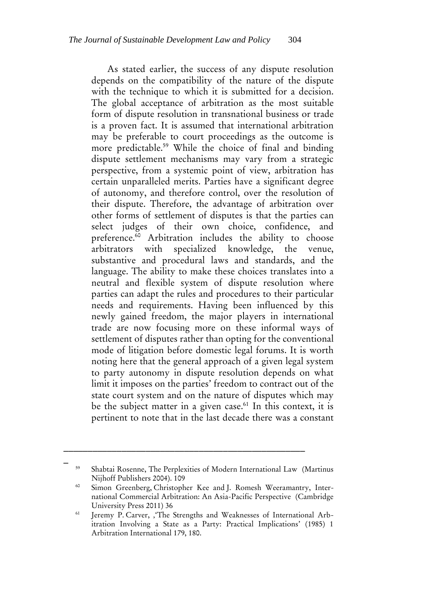As stated earlier, the success of any dispute resolution depends on the compatibility of the nature of the dispute with the technique to which it is submitted for a decision. The global acceptance of arbitration as the most suitable form of dispute resolution in transnational business or trade is a proven fact. It is assumed that international arbitration may be preferable to court proceedings as the outcome is more predictable.<sup>59</sup> While the choice of final and binding dispute settlement mechanisms may vary from a strategic perspective, from a systemic point of view, arbitration has certain unparalleled merits. Parties have a significant degree of autonomy, and therefore control, over the resolution of their dispute. Therefore, the advantage of arbitration over other forms of settlement of disputes is that the parties can select judges of their own choice, confidence, and preference.<sup>60</sup> Arbitration includes the ability to choose arbitrators with specialized knowledge, the venue, substantive and procedural laws and standards, and the language. The ability to make these choices translates into a neutral and flexible system of dispute resolution where parties can adapt the rules and procedures to their particular needs and requirements. Having been influenced by this newly gained freedom, the major players in international trade are now focusing more on these informal ways of settlement of disputes rather than opting for the conventional mode of litigation before domestic legal forums. It is worth noting here that the general approach of a given legal system to party autonomy in dispute resolution depends on what limit it imposes on the parties' freedom to contract out of the state court system and on the nature of disputes which may be the subject matter in a given case.<sup>61</sup> In this context, it is pertinent to note that in the last decade there was a constant

\_\_\_\_\_\_\_\_\_\_\_\_\_\_\_\_\_\_\_\_\_\_\_\_\_\_\_\_\_\_\_\_\_\_\_\_\_\_\_\_\_\_\_\_\_\_\_\_\_\_

<sup>59</sup> Shabtai Rosenne, The Perplexities of Modern International Law (Martinus Nijhoff Publishers 2004). 109

<sup>&</sup>lt;sup>60</sup> Simon Greenberg, Christopher Kee and J. Romesh Weeramantry, International Commercial Arbitration: An Asia-Pacific Perspective (Cambridge University Press 2011) 36

<sup>&</sup>lt;sup>61</sup> Jeremy P. Carver, , 'The Strengths and Weaknesses of International Arbitration Involving a State as a Party: Practical Implications' (1985) 1 Arbitration International 179, 180.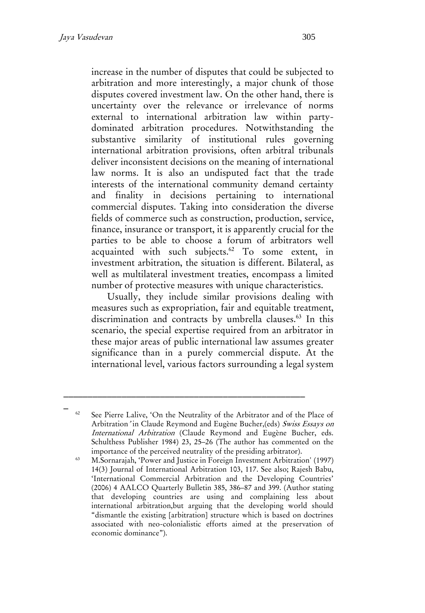increase in the number of disputes that could be subjected to arbitration and more interestingly, a major chunk of those disputes covered investment law. On the other hand, there is uncertainty over the relevance or irrelevance of norms external to international arbitration law within partydominated arbitration procedures. Notwithstanding the substantive similarity of institutional rules governing international arbitration provisions, often arbitral tribunals deliver inconsistent decisions on the meaning of international law norms. It is also an undisputed fact that the trade interests of the international community demand certainty and finality in decisions pertaining to international commercial disputes. Taking into consideration the diverse fields of commerce such as construction, production, service, finance, insurance or transport, it is apparently crucial for the parties to be able to choose a forum of arbitrators well acquainted with such subjects.<sup>62</sup> To some extent, in investment arbitration, the situation is different. Bilateral, as well as multilateral investment treaties, encompass a limited number of protective measures with unique characteristics.

Usually, they include similar provisions dealing with measures such as expropriation, fair and equitable treatment, discrimination and contracts by umbrella clauses.<sup>63</sup> In this scenario, the special expertise required from an arbitrator in these major areas of public international law assumes greater significance than in a purely commercial dispute. At the international level, various factors surrounding a legal system

See Pierre Lalive, 'On the Neutrality of the Arbitrator and of the Place of Arbitration' in Claude Reymond and Eugène Bucher,(eds) Swiss Essays on International Arbitration (Claude Reymond and Eugène Bucher, eds. Schulthess Publisher 1984) 23, 25–26 (The author has commented on the importance of the perceived neutrality of the presiding arbitrator).

<sup>63</sup> M.Sornarajah, 'Power and Justice in Foreign Investment Arbitration' (1997) 14(3) Journal of International Arbitration 103, 117. See also; Rajesh Babu, 'International Commercial Arbitration and the Developing Countries' (2006) 4 AALCO Quarterly Bulletin 385, 386–87 and 399. (Author stating that developing countries are using and complaining less about international arbitration,but arguing that the developing world should "dismantle the existing [arbitration] structure which is based on doctrines associated with neo-colonialistic efforts aimed at the preservation of economic dominance").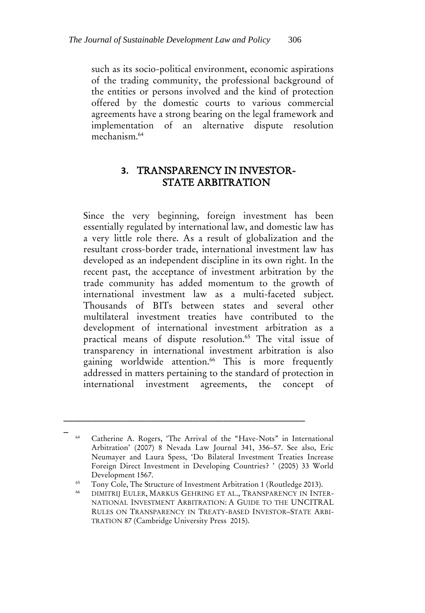such as its socio-political environment, economic aspirations of the trading community, the professional background of the entities or persons involved and the kind of protection offered by the domestic courts to various commercial agreements have a strong bearing on the legal framework and implementation of an alternative dispute resolution mechanism.<sup>64</sup>

#### **3.** TRANSPARENCY IN INVESTOR-STATE ARBITRATION

Since the very beginning, foreign investment has been essentially regulated by international law, and domestic law has a very little role there. As a result of globalization and the resultant cross-border trade, international investment law has developed as an independent discipline in its own right. In the recent past, the acceptance of investment arbitration by the trade community has added momentum to the growth of international investment law as a multi-faceted subject. Thousands of BITs between states and several other multilateral investment treaties have contributed to the development of international investment arbitration as a practical means of dispute resolution.<sup>65</sup> The vital issue of transparency in international investment arbitration is also gaining worldwide attention.<sup>66</sup> This is more frequently addressed in matters pertaining to the standard of protection in international investment agreements, the concept of

\_\_\_\_\_\_\_\_\_\_\_\_\_\_\_\_\_\_\_\_\_\_\_\_\_\_\_\_\_\_\_\_\_\_\_\_\_\_\_\_\_\_\_\_\_\_\_\_\_\_

<sup>64</sup> Catherine A. Rogers, 'The Arrival of the "Have-Nots" in International Arbitration' (2007) 8 Nevada Law Journal 341, 356–57. See also, Eric Neumayer and Laura Spess, 'Do Bilateral Investment Treaties Increase Foreign Direct Investment in Developing Countries? ' (2005) 33 World Development 1567.

<sup>&</sup>lt;sup>65</sup> Tony Cole, The Structure of Investment Arbitration 1 (Routledge 2013).<br><sup>66</sup> DIMITRIL ELILER MARKLIS CELIRING ET AL TRANSPARENGY IN INT

<sup>66</sup> DIMITRIJ EULER, MARKUS GEHRING ET AL., TRANSPARENCY IN INTER-NATIONAL INVESTMENT ARBITRATION: A GUIDE TO THE UNCITRAL RULES ON TRANSPARENCY IN TREATY-BASED INVESTOR–STATE ARBI-TRATION 87 (Cambridge University Press 2015).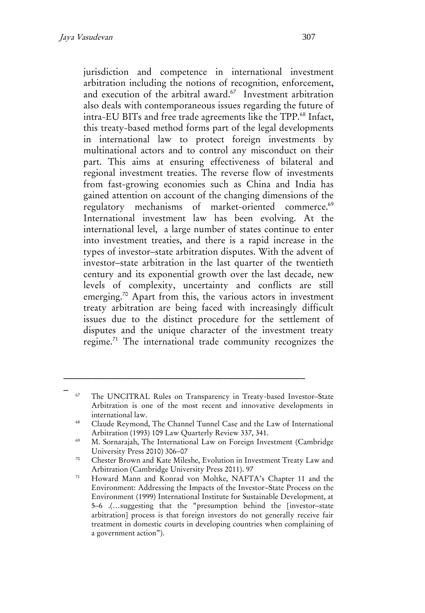jurisdiction and competence in international investment arbitration including the notions of recognition, enforcement, and execution of the arbitral award.<sup>67</sup> Investment arbitration also deals with contemporaneous issues regarding the future of intra-EU BITs and free trade agreements like the TPP.<sup>68</sup> Infact, this treaty-based method forms part of the legal developments in international law to protect foreign investments by multinational actors and to control any misconduct on their part. This aims at ensuring effectiveness of bilateral and regional investment treaties. The reverse flow of investments from fast-growing economies such as China and India has gained attention on account of the changing dimensions of the regulatory mechanisms of market-oriented commerce.<sup>69</sup> International investment law has been evolving. At the international level, a large number of states continue to enter into investment treaties, and there is a rapid increase in the types of investor–state arbitration disputes. With the advent of investor–state arbitration in the last quarter of the twentieth century and its exponential growth over the last decade, new levels of complexity, uncertainty and conflicts are still emerging.<sup>70</sup> Apart from this, the various actors in investment treaty arbitration are being faced with increasingly difficult issues due to the distinct procedure for the settlement of disputes and the unique character of the investment treaty regime. <sup>71</sup> The international trade community recognizes the

<sup>&</sup>lt;sup>67</sup> The UNCITRAL Rules on Transparency in Treaty-based Investor-State Arbitration is one of the most recent and innovative developments in international law.

<sup>&</sup>lt;sup>68</sup> Claude Reymond, The Channel Tunnel Case and the Law of International Arbitration (1993) 109 Law Quarterly Review 337, 341.

<sup>&</sup>lt;sup>69</sup> M. Sornarajah, The International Law on Foreign Investment (Cambridge University Press 2010) 306–07

<sup>70</sup> Chester Brown and Kate Mileshe, Evolution in Investment Treaty Law and Arbitration (Cambridge University Press 2011). 97

<sup>71</sup> Howard Mann and Konrad von Moltke, NAFTA's Chapter 11 and the Environment: Addressing the Impacts of the Investor–State Process on the Environment (1999) International Institute for Sustainable Development, at 5–6 .(…suggesting that the "presumption behind the [investor–state arbitration] process is that foreign investors do not generally receive fair treatment in domestic courts in developing countries when complaining of a government action").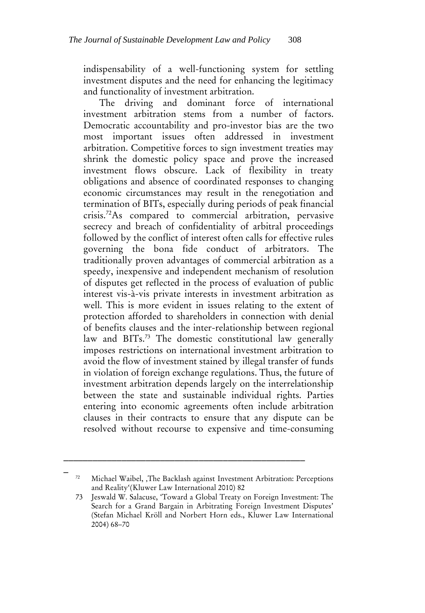indispensability of a well-functioning system for settling investment disputes and the need for enhancing the legitimacy and functionality of investment arbitration.

The driving and dominant force of international investment arbitration stems from a number of factors. Democratic accountability and pro-investor bias are the two most important issues often addressed in investment arbitration. Competitive forces to sign investment treaties may shrink the domestic policy space and prove the increased investment flows obscure. Lack of flexibility in treaty obligations and absence of coordinated responses to changing economic circumstances may result in the renegotiation and termination of BITs, especially during periods of peak financial crisis.<sup>72</sup>As compared to commercial arbitration, pervasive secrecy and breach of confidentiality of arbitral proceedings followed by the conflict of interest often calls for effective rules governing the bona fide conduct of arbitrators. The traditionally proven advantages of commercial arbitration as a speedy, inexpensive and independent mechanism of resolution of disputes get reflected in the process of evaluation of public interest vis-à-vis private interests in investment arbitration as well. This is more evident in issues relating to the extent of protection afforded to shareholders in connection with denial of benefits clauses and the inter-relationship between regional law and BITs.<sup>73</sup> The domestic constitutional law generally imposes restrictions on international investment arbitration to avoid the flow of investment stained by illegal transfer of funds in violation of foreign exchange regulations. Thus, the future of investment arbitration depends largely on the interrelationship between the state and sustainable individual rights. Parties entering into economic agreements often include arbitration clauses in their contracts to ensure that any dispute can be resolved without recourse to expensive and time-consuming

\_ <sup>72</sup> Michael Waibel, 'The Backlash against Investment Arbitration: Perceptions and Reality'(Kluwer Law International 2010) 82

<sup>73</sup> Jeswald W. Salacuse, 'Toward a Global Treaty on Foreign Investment: The Search for a Grand Bargain in Arbitrating Foreign Investment Disputes' (Stefan Michael Kröll and Norbert Horn eds., Kluwer Law International 2004) 68–70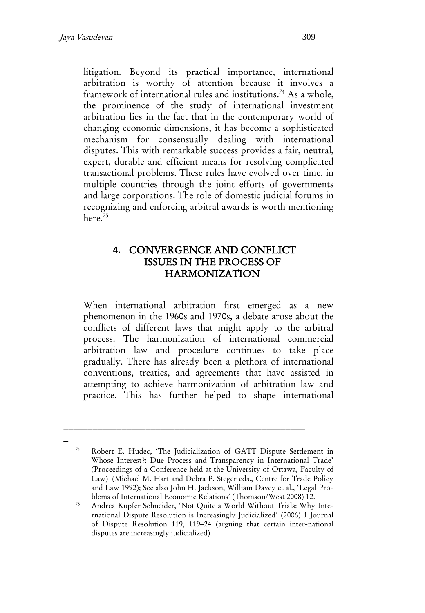litigation. Beyond its practical importance, international arbitration is worthy of attention because it involves a framework of international rules and institutions.<sup>74</sup> As a whole, the prominence of the study of international investment arbitration lies in the fact that in the contemporary world of changing economic dimensions, it has become a sophisticated mechanism for consensually dealing with international disputes. This with remarkable success provides a fair, neutral, expert, durable and efficient means for resolving complicated transactional problems. These rules have evolved over time, in multiple countries through the joint efforts of governments and large corporations. The role of domestic judicial forums in recognizing and enforcing arbitral awards is worth mentioning here.<sup>75</sup>

### **4.** CONVERGENCE AND CONFLICT ISSUES IN THE PROCESS OF **HARMONIZATION**

When international arbitration first emerged as a new phenomenon in the 1960s and 1970s, a debate arose about the conflicts of different laws that might apply to the arbitral process. The harmonization of international commercial arbitration law and procedure continues to take place gradually. There has already been a plethora of international conventions, treaties, and agreements that have assisted in attempting to achieve harmonization of arbitration law and practice. This has further helped to shape international

<sup>74</sup> Robert E. Hudec, 'The Judicialization of GATT Dispute Settlement in Whose Interest?: Due Process and Transparency in International Trade' (Proceedings of a Conference held at the University of Ottawa, Faculty of Law) (Michael M. Hart and Debra P. Steger eds., Centre for Trade Policy and Law 1992); See also John H. Jackson, William Davey et al., 'Legal Problems of International Economic Relations' (Thomson/West 2008) 12.

<sup>75</sup> Andrea Kupfer Schneider, 'Not Quite a World Without Trials: Why International Dispute Resolution is Increasingly Judicialized' (2006) 1 Journal of Dispute Resolution 119, 119–24 (arguing that certain inter-national disputes are increasingly judicialized).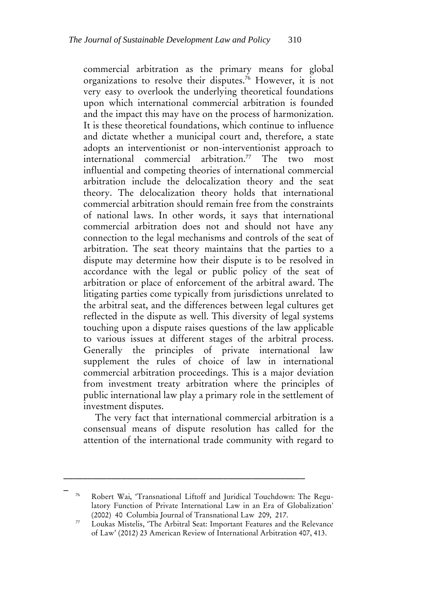commercial arbitration as the primary means for global organizations to resolve their disputes.<sup>76</sup> However, it is not very easy to overlook the underlying theoretical foundations upon which international commercial arbitration is founded and the impact this may have on the process of harmonization. It is these theoretical foundations, which continue to influence and dictate whether a municipal court and, therefore, a state adopts an interventionist or non-interventionist approach to international commercial arbitration.<sup>77</sup> The two most influential and competing theories of international commercial arbitration include the delocalization theory and the seat theory. The delocalization theory holds that international commercial arbitration should remain free from the constraints of national laws. In other words, it says that international commercial arbitration does not and should not have any connection to the legal mechanisms and controls of the seat of arbitration. The seat theory maintains that the parties to a dispute may determine how their dispute is to be resolved in accordance with the legal or public policy of the seat of arbitration or place of enforcement of the arbitral award. The litigating parties come typically from jurisdictions unrelated to the arbitral seat, and the differences between legal cultures get reflected in the dispute as well. This diversity of legal systems touching upon a dispute raises questions of the law applicable to various issues at different stages of the arbitral process. Generally the principles of private international law supplement the rules of choice of law in international commercial arbitration proceedings. This is a major deviation from investment treaty arbitration where the principles of public international law play a primary role in the settlement of investment disputes.

The very fact that international commercial arbitration is a consensual means of dispute resolution has called for the attention of the international trade community with regard to

\_\_\_\_\_\_\_\_\_\_\_\_\_\_\_\_\_\_\_\_\_\_\_\_\_\_\_\_\_\_\_\_\_\_\_\_\_\_\_\_\_\_\_\_\_\_\_\_\_\_

Robert Wai, 'Transnational Liftoff and Juridical Touchdown: The Regulatory Function of Private International Law in an Era of Globalization' (2002) 40 Columbia Journal of Transnational Law 209, 217.

<sup>77</sup> Loukas Mistelis, 'The Arbitral Seat: Important Features and the Relevance of Law' (2012) 23 American Review of International Arbitration 407, 413.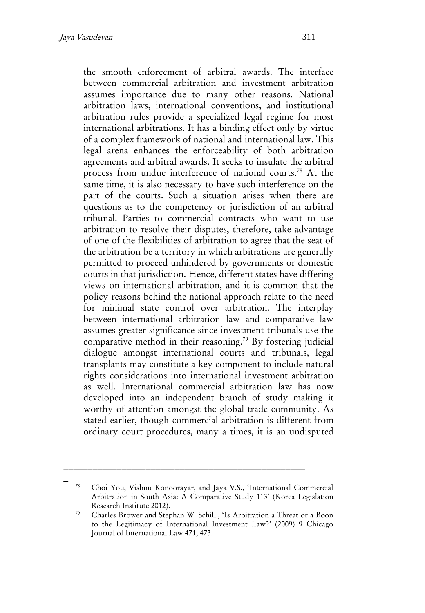the smooth enforcement of arbitral awards. The interface between commercial arbitration and investment arbitration assumes importance due to many other reasons. National arbitration laws, international conventions, and institutional arbitration rules provide a specialized legal regime for most international arbitrations. It has a binding effect only by virtue of a complex framework of national and international law. This legal arena enhances the enforceability of both arbitration agreements and arbitral awards. It seeks to insulate the arbitral process from undue interference of national courts.<sup>78</sup> At the same time, it is also necessary to have such interference on the part of the courts. Such a situation arises when there are questions as to the competency or jurisdiction of an arbitral tribunal. Parties to commercial contracts who want to use arbitration to resolve their disputes, therefore, take advantage of one of the flexibilities of arbitration to agree that the seat of the arbitration be a territory in which arbitrations are generally permitted to proceed unhindered by governments or domestic courts in that jurisdiction. Hence, different states have differing views on international arbitration, and it is common that the policy reasons behind the national approach relate to the need for minimal state control over arbitration. The interplay between international arbitration law and comparative law assumes greater significance since investment tribunals use the comparative method in their reasoning.<sup>79</sup> By fostering judicial dialogue amongst international courts and tribunals, legal transplants may constitute a key component to include natural rights considerations into international investment arbitration as well. International commercial arbitration law has now developed into an independent branch of study making it worthy of attention amongst the global trade community. As stated earlier, though commercial arbitration is different from ordinary court procedures, many a times, it is an undisputed

\_ <sup>78</sup> Choi You, Vishnu Konoorayar, and Jaya V.S., 'International Commercial Arbitration in South Asia: A Comparative Study 113' (Korea Legislation Research Institute 2012).

<sup>79</sup> Charles Brower and Stephan W. Schill., 'Is Arbitration a Threat or a Boon to the Legitimacy of International Investment Law?' (2009) 9 Chicago Journal of International Law 471, 473.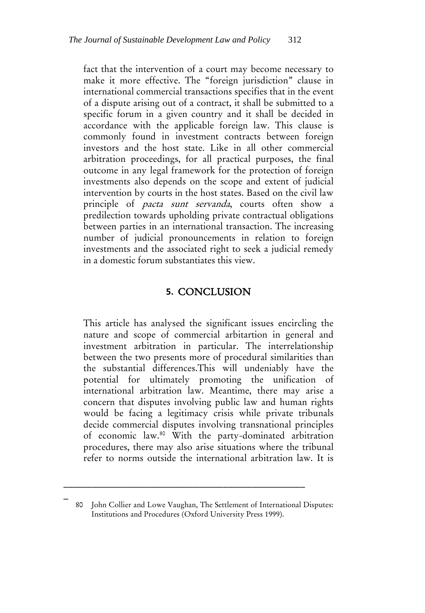fact that the intervention of a court may become necessary to make it more effective. The "foreign jurisdiction" clause in international commercial transactions specifies that in the event of a dispute arising out of a contract, it shall be submitted to a specific forum in a given country and it shall be decided in accordance with the applicable foreign law. This clause is commonly found in investment contracts between foreign investors and the host state. Like in all other commercial arbitration proceedings, for all practical purposes, the final outcome in any legal framework for the protection of foreign investments also depends on the scope and extent of judicial intervention by courts in the host states. Based on the civil law principle of *pacta sunt servanda*, courts often show a predilection towards upholding private contractual obligations between parties in an international transaction. The increasing number of judicial pronouncements in relation to foreign investments and the associated right to seek a judicial remedy in a domestic forum substantiates this view.

### **5.** CONCLUSION

This article has analysed the significant issues encircling the nature and scope of commercial arbitartion in general and investment arbitration in particular. The interrelationship between the two presents more of procedural similarities than the substantial differences.This will undeniably have the potential for ultimately promoting the unification of international arbitration law. Meantime, there may arise a concern that disputes involving public law and human rights would be facing a legitimacy crisis while private tribunals decide commercial disputes involving transnational principles of economic law.<sup>80</sup> With the party-dominated arbitration procedures, there may also arise situations where the tribunal refer to norms outside the international arbitration law. It is

\_\_\_\_\_\_\_\_\_\_\_\_\_\_\_\_\_\_\_\_\_\_\_\_\_\_\_\_\_\_\_\_\_\_\_\_\_\_\_\_\_\_\_\_\_\_\_\_\_\_

<sup>80</sup> John Collier and Lowe Vaughan, The Settlement of International Disputes: Institutions and Procedures (Oxford University Press 1999).